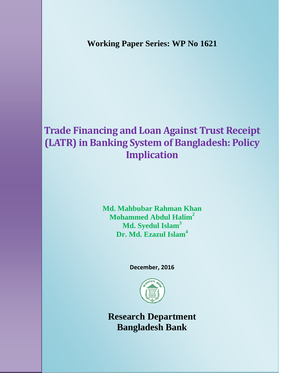**Working Paper Series: WP No 1621** 

# **Trade Financing and Loan Against Trust Receipt (LATR) in Banking System of Bangladesh: Policy Implication**

**Md. Mahbubar Rahman Khan Mohammed Abdul Halim2 Md. Syedul Islam3 Dr. Md. Ezazul Islam<sup>4</sup>**

**December, 2016** 



**Research Department Bangladesh Bank**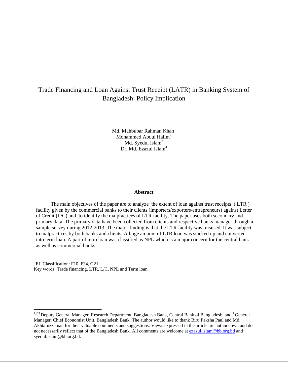# Trade Financing and Loan Against Trust Receipt (LATR) in Banking System of Bangladesh: Policy Implication

Md. Mahbubar Rahman Khan<sup>1</sup> Mohammed Abdul Halim<sup>2</sup> Md. Syedul Islam<sup>3</sup> Dr. Md. Ezazul Islam<sup>4</sup>

#### **Abstract**

 The main objectives of the paper are to analyze the extent of loan against trust receipts ( LTR ) facility given by the commercial banks to their clients (importers/exporters/entrepreneurs) against Letter of Credit (L/C) and to identify the malpractices of LTR facility. The paper uses both secondary and primary data. The primary data have been collected from clients and respective banks manager through a sample survey during 2012-2013. The major finding is that the LTR facility was misused. It was subject to malpractices by both banks and clients. A huge amount of LTR loan was stacked up and converted into term loan. A part of term loan was classified as NPL which is a major concern for the central bank as well as commercial banks.

JEL Classification: F10, F34, G21 Key words: Trade financing, LTR, L/C, NPL and Term loan.

 $\overline{a}$ 

<sup>&</sup>lt;sup>1,2,3</sup> Deputy General Manager, Research Department, Bangladesh Bank, Central Bank of Bangladesh. and <sup>4</sup> General Manager, Chief Economist Unit, Bangladesh Bank. The author would like to thank Biru Paksha Paul and Md. Akhtaruzzaman for their valuable comments and suggestions. Views expressed in the article are authors own and do not necessarily reflect that of the Bangladesh Bank. All comments are welcome at ezazul.islam@bb.org.bd and syedul.islam@bb.org.bd.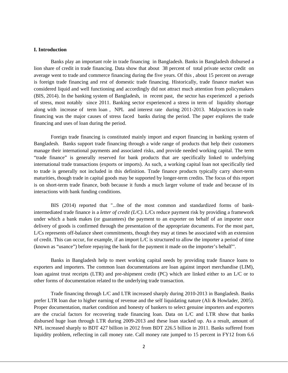#### **I. Introduction**

 Banks play an important role in trade financing in Bangladesh. Banks in Bangladesh disbursed a lion share of credit in trade financing. Data show that about 38 percent of total private sector credit on average went to trade and commerce financing during the five years. Of this , about 15 percent on average is foreign trade financing and rest of domestic trade financing. Historically, trade finance market was considered liquid and well functioning and accordingly did not attract much attention from policymakers (BIS, 2014). In the banking system of Bangladesh, in recent past, the sector has experienced a periods of stress, most notably since 2011. Banking sector experienced a stress in term of liquidity shortage along with increase of term loan , NPL and interest rate during 2011-2013. Malpractices in trade financing was the major causes of stress faced banks during the period. The paper explores the trade financing and uses of loan during the period.

 Foreign trade financing is constituted mainly import and export financing in banking system of Bangladesh. Banks support trade financing through a wide range of products that help their customers manage their international payments and associated risks, and provide needed working capital. The term "trade finance" is generally reserved for bank products that are specifically linked to underlying international trade transactions (exports or imports). As such, a working capital loan not specifically tied to trade is generally not included in this definition. Trade finance products typically carry short-term maturities, though trade in capital goods may be supported by longer-term credits. The focus of this report is on short-term trade finance, both because it funds a much larger volume of trade and because of its interactions with bank funding conditions.

 BIS (2014) reported that "...0ne of the most common and standardized forms of bankintermediated trade finance is a *letter of credit (L/C)*. L/Cs reduce payment risk by providing a framework under which a bank makes (or guarantees) the payment to an exporter on behalf of an importer once delivery of goods is confirmed through the presentation of the appropriate documents. For the most part, L/Cs represents off-balance sheet commitments, though they may at times be associated with an extension of credit. This can occur, for example, if an import L/C is structured to allow the importer a period of time (known as "usance") before repaying the bank for the payment it made on the importer's behalf"'.

 Banks in Bangladesh help to meet working capital needs by providing trade finance loans to exporters and importers. The common loan documentations are loan against import merchandise (LIM), loan against trust receipts (LTR) and pre-shipment credit (PC) which are linked either to an L/C or to other forms of documentation related to the underlying trade transaction.

Trade financing through L/C and LTR increased sharply during 2010-2013 in Bangladesh. Banks prefer LTR loan due to higher earning of revenue and the self liquidating nature (Ali & Howlader, 2005). Proper documentation, market condition and honesty of bankers to select genuine importers and exporters are the crucial factors for recovering trade financing loan. Data on L/C and LTR show that banks disbursed huge loan through LTR during 2009-2013 and these loan stacked up. As a result, amount of NPL increased sharply to BDT 427 billion in 2012 from BDT 226.5 billion in 2011. Banks suffered from liquidity problem, reflecting in call money rate. Call money rate jumped to 15 percent in FY12 from 6.6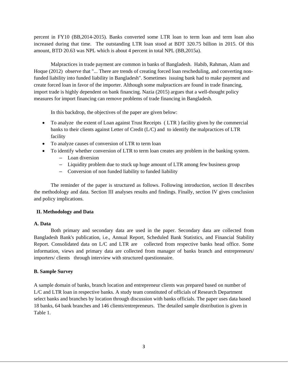percent in FY10 (BB,2014-2015). Banks converted some LTR loan to term loan and term loan also increased during that time. The outstanding LTR loan stood at BDT 320.75 billion in 2015. Of this amount, BTD 20.63 was NPL which is about 4 percent in total NPL (BB,2015a).

 Malpractices in trade payment are common in banks of Bangladesh. Habib, Rahman, Alam and Hoque (2012) observe that "... There are trends of creating forced loan rescheduling, and converting nonfunded liability into funded liability in Bangladesh". Sometimes issuing bank had to make payment and create forced loan in favor of the importer. Although some malpractices are found in trade financing, import trade is highly dependent on bank financing. Nazia (2015) argues that a well-thought policy measures for import financing can remove problems of trade financing in Bangladesh.

In this backdrop, the objectives of the paper are given below:

- To analyze the extent of Loan against Trust Receipts (LTR) facility given by the commercial banks to their clients against Letter of Credit (L/C) and to identify the malpractices of LTR facility
- To analyze causes of conversion of LTR to term loan
- To identify whether conversion of LTR to term loan creates any problem in the banking system.
	- Loan diversion
	- Liquidity problem due to stuck up huge amount of LTR among few business group
	- Conversion of non funded liability to funded liability

 The reminder of the paper is structured as follows. Following introduction, section II describes the methodology and data. Section III analyses results and findings. Finally, section IV gives conclusion and policy implications.

# **II. Methodology and Data**

# **A. Data**

 Both primary and secondary data are used in the paper. Secondary data are collected from Bangladesh Bank's publication, i.e., Annual Report, Scheduled Bank Statistics, and Financial Stability Report. Consolidated data on L/C and LTR are collected from respective banks head office. Some information, views and primary data are collected from manager of banks branch and entrepreneurs/ importers/ clients through interview with structured questionnaire.

# **B. Sample Survey**

A sample domain of banks, branch location and entrepreneur clients was prepared based on number of L/C and LTR loan in respective banks. A study team constituted of officials of Research Department select banks and branches by location through discussion with banks officials. The paper uses data based 18 banks, 64 bank branches and 146 clients/entrepreneurs. The detailed sample distribution is given in Table 1.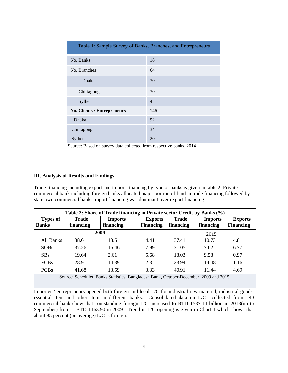| Table 1: Sample Survey of Banks, Branches, and Entrepreneurs |                |  |  |  |  |
|--------------------------------------------------------------|----------------|--|--|--|--|
| No. Banks                                                    | 18             |  |  |  |  |
| No. Branches                                                 | 64             |  |  |  |  |
| <b>Dhaka</b>                                                 | 30             |  |  |  |  |
| Chittagong                                                   | 30             |  |  |  |  |
| Sylhet                                                       | $\overline{4}$ |  |  |  |  |
| <b>No. Clients / Entrepreneurs</b>                           | 146            |  |  |  |  |
| <b>Dhaka</b>                                                 | 92             |  |  |  |  |
| Chittagong                                                   | 34             |  |  |  |  |
| Sylhet                                                       | 20             |  |  |  |  |

Source: Based on survey data collected from respective banks, 2014

#### **III. Analysis of Results and Findings**

Trade financing including export and import financing by type of banks is given in table 2. Private commercial bank including foreign banks allocated major portion of fund in trade financing followed by state own commercial bank. Import financing was dominant over export financing.

| Table 2: Share of Trade financing in Private sector Credit by Banks (%)               |                           |                             |                                    |                           |                             |                                    |  |
|---------------------------------------------------------------------------------------|---------------------------|-----------------------------|------------------------------------|---------------------------|-----------------------------|------------------------------------|--|
| <b>Types of</b><br><b>Banks</b>                                                       | <b>Trade</b><br>financing | <b>Imports</b><br>financing | <b>Exports</b><br><b>Financing</b> | <b>Trade</b><br>financing | <b>Imports</b><br>financing | <b>Exports</b><br><b>Financing</b> |  |
| 2009                                                                                  |                           |                             |                                    | 2015                      |                             |                                    |  |
| All Banks                                                                             | 38.6                      | 13.5                        | 4.41                               | 37.41                     | 10.73                       | 4.81                               |  |
| <b>SOBs</b>                                                                           | 37.26                     | 16.46                       | 7.99                               | 31.05                     | 7.62                        | 6.77                               |  |
| <b>SBs</b>                                                                            | 19.64                     | 2.61                        | 5.68                               | 18.03                     | 9.58                        | 0.97                               |  |
| <b>FCBs</b>                                                                           | 28.91                     | 14.39                       | 2.3                                | 23.94                     | 14.48                       | 1.16                               |  |
| <b>PCBs</b>                                                                           | 41.68                     | 13.59                       | 3.33                               | 40.91                     | 11.44                       | 4.69                               |  |
| Source: Scheduled Banks Statistics, Bangladesh Bank, October-December, 2009 and 2015. |                           |                             |                                    |                           |                             |                                    |  |

Importer / entrepreneurs opened both foreign and local L/C for industrial raw material, industrial goods, essential item and other item in different banks. Consolidated data on L/C collected from 40 commercial bank show that outstanding foreign L/C increased to BTD 1537.14 billion in 2013(up to September) from BTD 1163.90 in 2009. Trend in L/C opening is given in Chart 1 which shows that about 85 percent (on average) L/C is foreign.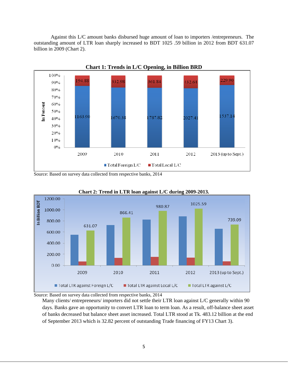Against this L/C amount banks disbursed huge amount of loan to importers /entrepreneurs. The outstanding amount of LTR loan sharply increased to BDT 1025 .59 billion in 2012 from BDT 631.07 billion in 2009 (Chart 2).



Source: Based on survey data collected from respective banks, 2014





Source: Based on survey data collected from respective banks, 2014

Many clients/ entrepreneurs/ importers did not settle their LTR loan against L/C generally within 90 days. Banks gave an opportunity to convert LTR loan to term loan. As a result, off-balance sheet asset of banks decreased but balance sheet asset increased. Total LTR stood at Tk. 483.12 billion at the end of September 2013 which is 32.82 percent of outstanding Trade financing of FY13 Chart 3).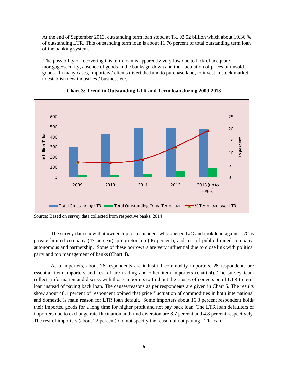At the end of September 2013, outstanding term loan stood at Tk. 93.52 billion which about 19.36 % of outstanding LTR. This outstanding term loan is about 11.76 percent of total outstanding term loan of the banking system.

 The possibility of recovering this term loan is apparently very low due to lack of adequate mortgage/security, absence of goods in the banks go-down and the fluctuation of prices of unsold goods. In many cases, importers / clients divert the fund to purchase land, to invest in stock market, to establish new industries / business etc.



**Chart 3: Trend in Outstanding LTR and Term loan during 2009-2013** 

Source: Based on survey data collected from respective banks, 2014

The survey data show that ownership of respondent who opened  $L/C$  and took loan against  $L/C$  is private limited company (47 percent), proprietorship (46 percent), and rest of public limited company, autonomous and partnership. Some of these borrowers are very influential due to close link with political party and top management of banks (Chart 4).

 As a importers, about 76 respondents are industrial commodity importers, 28 respondents are essential item importers and rest of are trading and other item importers (chart 4). The survey team collects information and discuss with those importers to find out the causes of conversion of LTR to term loan instead of paying back loan. The causes/reasons as per respondents are given in Chart 5. The results show about 48.1 percent of respondent opined that price fluctuation of commodities in both international and domestic is main reason for LTR loan default. Some importers about 16.3 percent respondent holds their imported goods for a long time for higher profit and not pay back loan. The LTR loan defaulters of importers due to exchange rate fluctuation and fund diversion are 8.7 percent and 4.8 percent respectively. The rest of importers (about 22 percent) did not specify the reason of not paying LTR loan.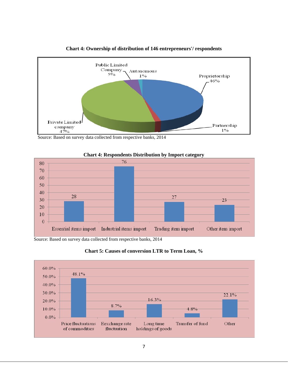

# **Chart 4: Ownership of distribution of 146 entrepreneurs'/ respondents**

Source: Based on survey data collected from respective banks, 2014



# **Chart 4: Respondents Distribution by Import category**

Source: Based on survey data collected from respective banks, 2014



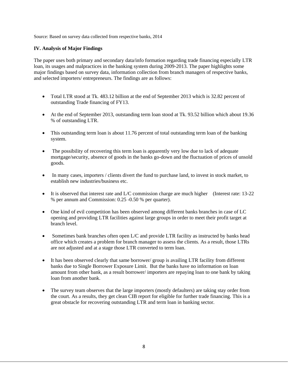Source: Based on survey data collected from respective banks, 2014

# **IV. Analysis of Major Findings**

The paper uses both primary and secondary data/info formation regarding trade financing especially LTR loan, its usages and malpractices in the banking system during 2009-2013. The paper highlights some major findings based on survey data, information collection from branch managers of respective banks, and selected importers/ entrepreneurs. The findings are as follows:

- Total LTR stood at Tk. 483.12 billion at the end of September 2013 which is 32.82 percent of outstanding Trade financing of FY13.
- At the end of September 2013, outstanding term loan stood at Tk. 93.52 billion which about 19.36 % of outstanding LTR.
- This outstanding term loan is about 11.76 percent of total outstanding term loan of the banking system.
- The possibility of recovering this term loan is apparently very low due to lack of adequate mortgage/security, absence of goods in the banks go-down and the fluctuation of prices of unsold goods.
- In many cases, importers / clients divert the fund to purchase land, to invest in stock market, to establish new industries/business etc.
- $\bullet$  It is observed that interest rate and L/C commission charge are much higher (Interest rate: 13-22) % per annum and Commission: 0.25 -0.50 % per quarter).
- One kind of evil competition has been observed among different banks branches in case of LC opening and providing LTR facilities against large groups in order to meet their profit target at branch level.
- Sometimes bank branches often open L/C and provide LTR facility as instructed by banks head office which creates a problem for branch manager to assess the clients. As a result, those LTRs are not adjusted and at a stage those LTR converted to term loan.
- It has been observed clearly that same borrower/ group is availing LTR facility from different banks due to Single Borrower Exposure Limit. But the banks have no information on loan amount from other bank, as a result borrower/ importers are repaying loan to one bank by taking loan from another bank.
- The survey team observes that the large importers (mostly defaulters) are taking stay order from the court. As a results, they get clean CIB report for eligible for further trade financing. This is a great obstacle for recovering outstanding LTR and term loan in banking sector.